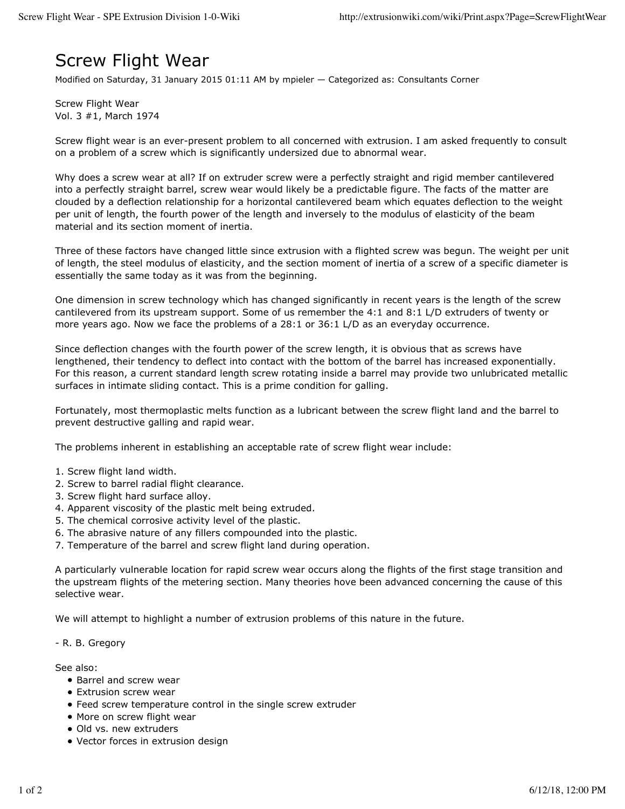## Screw Flight Wear

Modified on Saturday, 31 January 2015 01:11 AM by mpieler — Categorized as: Consultants Corner

Screw Flight Wear Vol. 3 #1, March 1974

Screw flight wear is an ever-present problem to all concerned with extrusion. I am asked frequently to consult on a problem of a screw which is significantly undersized due to abnormal wear.

Why does a screw wear at all? If on extruder screw were a perfectly straight and rigid member cantilevered into a perfectly straight barrel, screw wear would likely be a predictable figure. The facts of the matter are clouded by a deflection relationship for a horizontal cantilevered beam which equates deflection to the weight per unit of length, the fourth power of the length and inversely to the modulus of elasticity of the beam material and its section moment of inertia.

Three of these factors have changed little since extrusion with a flighted screw was begun. The weight per unit of length, the steel modulus of elasticity, and the section moment of inertia of a screw of a specific diameter is essentially the same today as it was from the beginning.

One dimension in screw technology which has changed significantly in recent years is the length of the screw cantilevered from its upstream support. Some of us remember the 4:1 and 8:1 L/D extruders of twenty or more years ago. Now we face the problems of a 28:1 or 36:1 L/D as an everyday occurrence.

Since deflection changes with the fourth power of the screw length, it is obvious that as screws have lengthened, their tendency to deflect into contact with the bottom of the barrel has increased exponentially. For this reason, a current standard length screw rotating inside a barrel may provide two unlubricated metallic surfaces in intimate sliding contact. This is a prime condition for galling.

Fortunately, most thermoplastic melts function as a lubricant between the screw flight land and the barrel to prevent destructive galling and rapid wear.

The problems inherent in establishing an acceptable rate of screw flight wear include:

- 1. Screw flight land width.
- 2. Screw to barrel radial flight clearance.
- 3. Screw flight hard surface alloy.
- 4. Apparent viscosity of the plastic melt being extruded.
- 5. The chemical corrosive activity level of the plastic.
- 6. The abrasive nature of any fillers compounded into the plastic.
- 7. Temperature of the barrel and screw flight land during operation.

A particularly vulnerable location for rapid screw wear occurs along the flights of the first stage transition and the upstream flights of the metering section. Many theories hove been advanced concerning the cause of this selective wear.

We will attempt to highlight a number of extrusion problems of this nature in the future.

## - R. B. Gregory

See also:

- Barrel and screw wear
- **•** Extrusion screw wear
- Feed screw temperature control in the single screw extruder
- More on screw flight wear
- Old vs. new extruders
- Vector forces in extrusion design